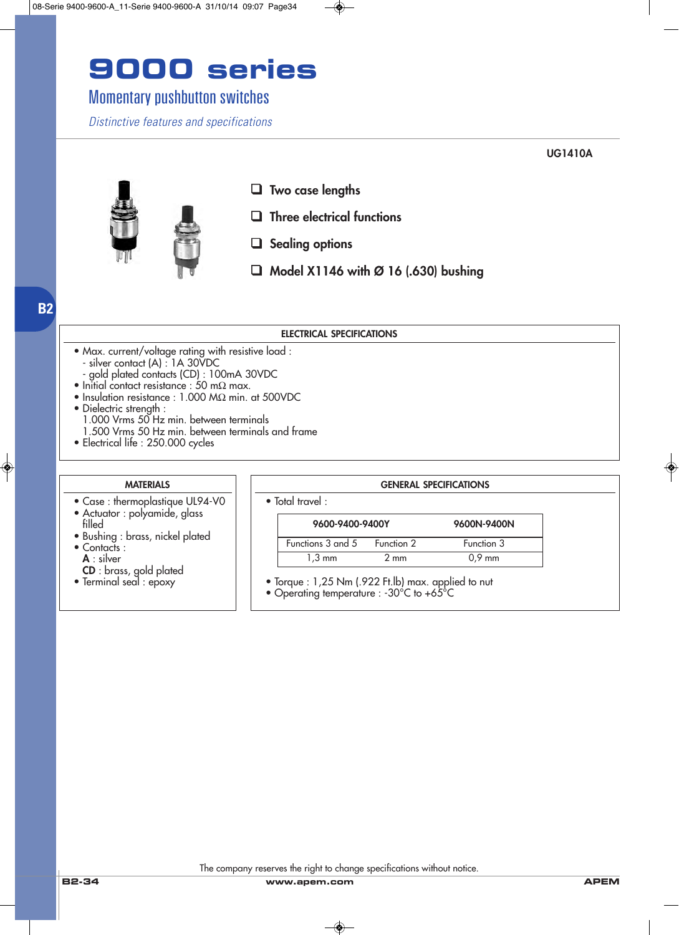### Momentary pushbutton switches

*Distinctive features and specifications*

**UG1410A**



- ❑ **Two case lengths**
- ❑ **Three electrical functions**
- ❑ **Sealing options**
- ❑ **Model X1146 with Ø 16 (.630) bushing**

#### **ELECTRICAL SPECIFICATIONS**

- Max. current/voltage rating with resistive load : - silver contact (A) : 1A 30VDC
- gold plated contacts (CD) : 100mA 30VDC
- Initial contact resistance : 50 m $\Omega$  max.
- Insulation resistance : 1.000 MΩ min. at 500VDC
- Dielectric strength : 1.000 Vrms 50 Hz min. between terminals 1.500 Vrms 50 Hz min. between terminals and frame
- Electrical life : 250.000 cycles

#### **MATERIALS**

- Case : thermoplastique UL94-V0
- Actuator : polyamide, glass
- filled • Bushing : brass, nickel plated
- Contacts :
- **A** : silver **CD** : brass, gold plated
- Terminal seal : epoxy

| $\bullet$ Total travel : |  |
|--------------------------|--|
|--------------------------|--|

| 9600-9400-9400Y   |                | 9600N-9400N |
|-------------------|----------------|-------------|
| Functions 3 and 5 | Function 2     | Function 3  |
| $1.3 \text{ mm}$  | $2 \text{ mm}$ | $0.9$ mm    |

**GENERAL SPECIFICATIONS**

- Torque : 1,25 Nm (.922 Ft.lb) max. applied to nut
- Operating temperature : -30°C to +65°C

**B2**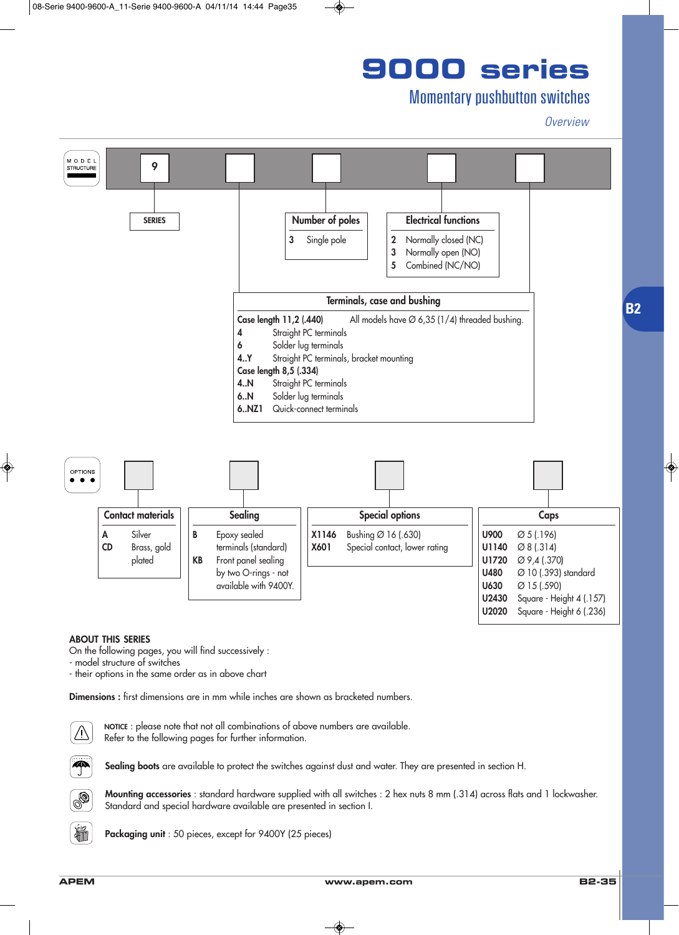### Momentary pushbutton switches

*Overview*



#### **ABOUT THIS SERIES**

On the following pages, you will find successively :

- model structure of switches

- their options in the same order as in above chart

**Dimensions :** first dimensions are in mm while inches are shown as bracketed numbers.



**NOTICE** : please note that not all combinations of above numbers are available. Refer to the following pages for further information.



Sealing boots are available to protect the switches against dust and water. They are presented in section H.



hř

**Mounting accessories** : standard hardware supplied with all switches : 2 hex nuts 8 mm (.314) across flats and 1 lockwasher. Standard and special hardware available are presented in section I.

**Packaging unit** : 50 pieces, except for 9400Y (25 pieces)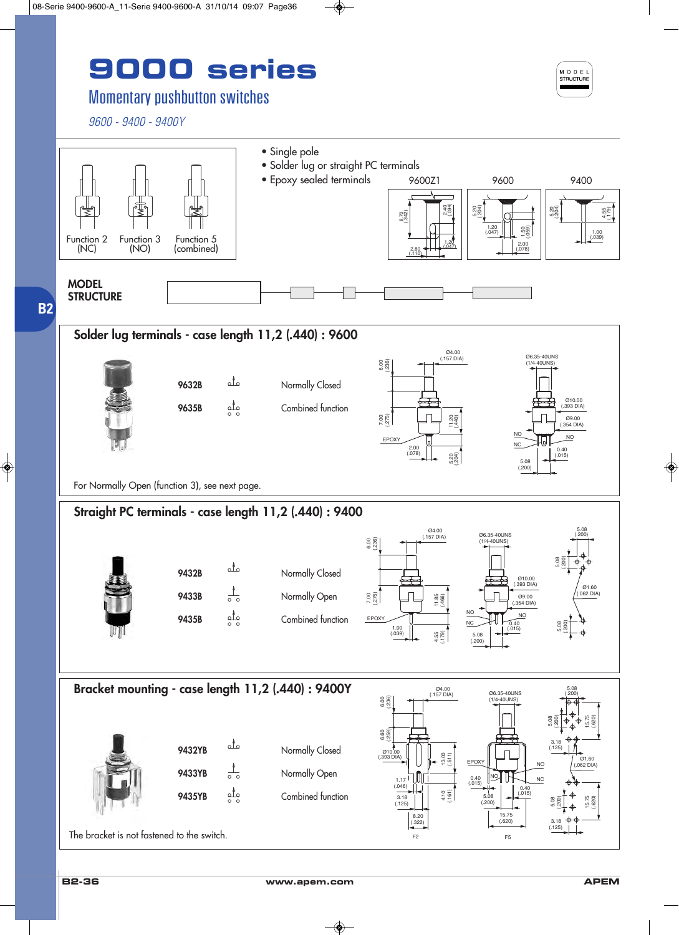### Momentary pushbutton switches

*9600 - 9400 - 9400Y*



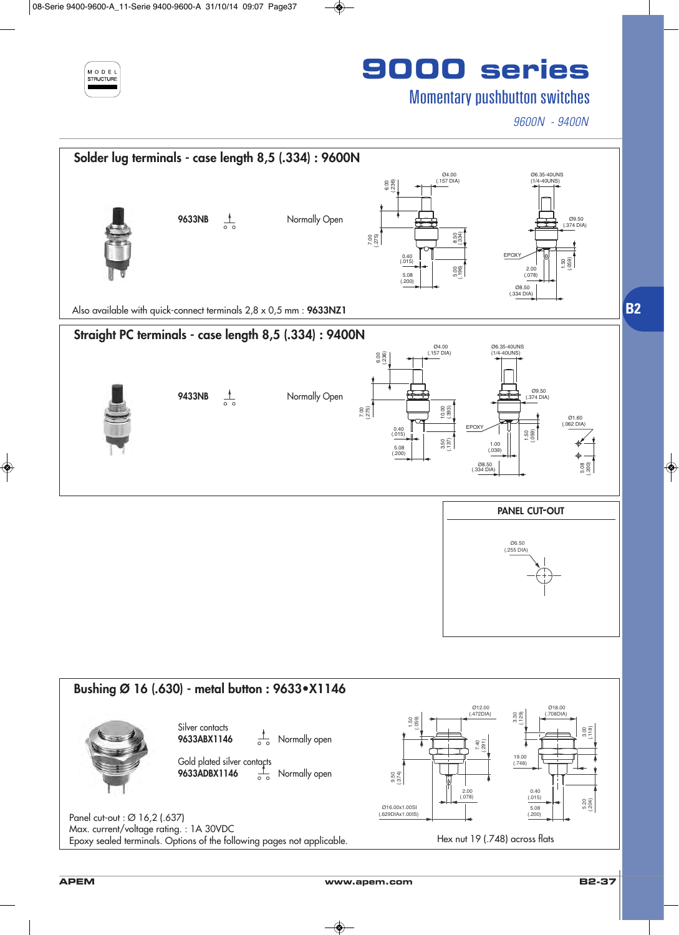

### Momentary pushbutton switches

*9600N - 9400N*



**APEM www.apem.com B2-37**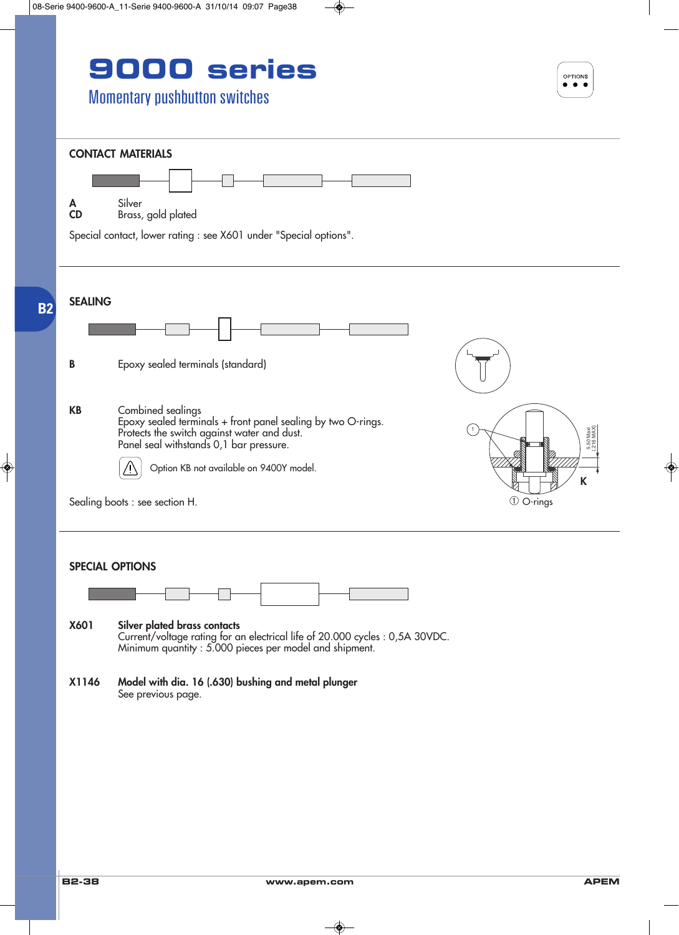



**X1146 Model with dia. 16 (.630) bushing and metal plunger** See previous page.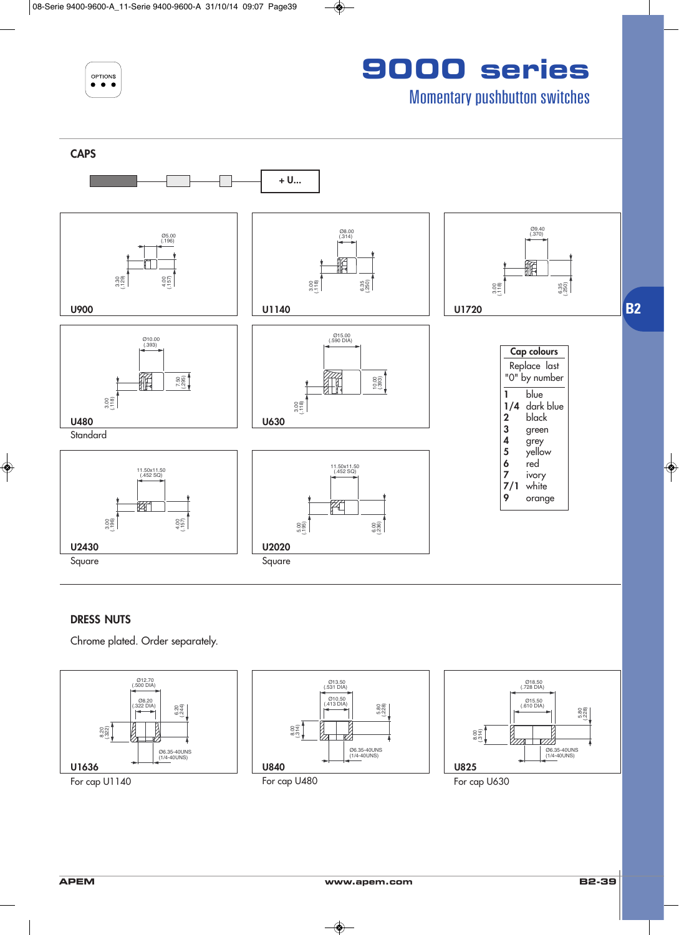

**9000 series**

Momentary pushbutton switches



#### **DRESS NUTS**

Chrome plated. Order separately.

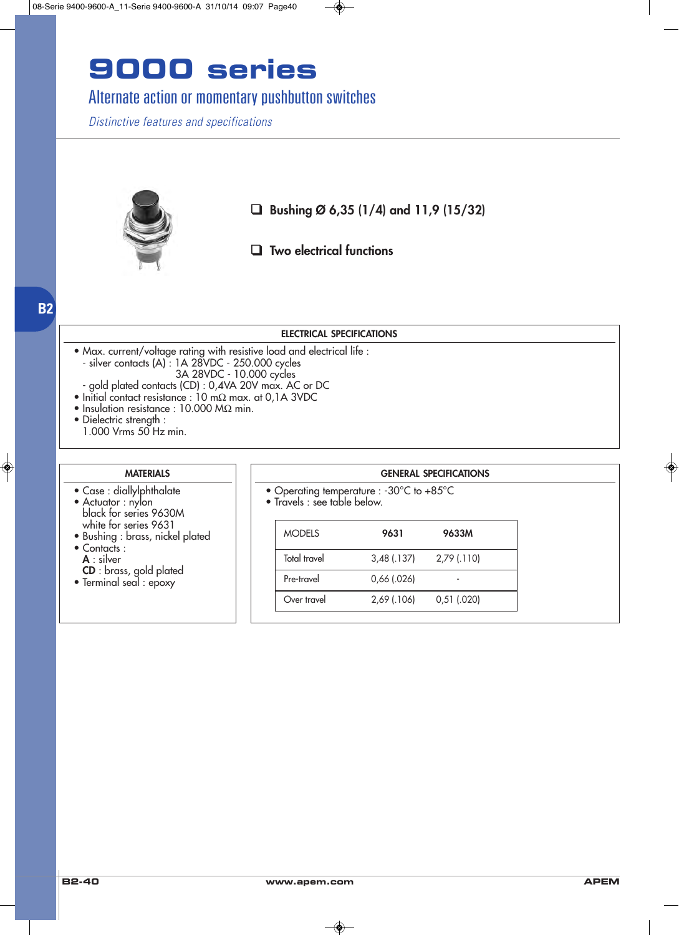### Alternate action or momentary pushbutton switches

*Distinctive features and specifications*



❑ **Bushing Ø 6,35 (1/4) and 11,9 (15/32)**

❑ **Two electrical functions**

#### **ELECTRICAL SPECIFICATIONS**

- Max. current/voltage rating with resistive load and electrical life : - silver contacts (A) : 1A 28VDC - 250.000 cycles
	- 3A 28VDC 10.000 cycles
- gold plated contacts (CD) : 0,4VA 20V max. AC or DC
- Initial contact resistance : 10 mΩ max. at 0,1A 3VDC
- Insulation resistance : 10.000 MΩ min.
- Dielectric strength : 1.000 Vrms 50 Hz min.

**B2**

#### **MATERIALS**

- Case : diallylphthalate
- Actuator : nylon black for series 9630M white for series 9631
- Bushing : brass, nickel plated • Contacts :
- **A** : silver
- **CD** : brass, gold plated
- Terminal seal : epoxy

- Operating temperature : -30°C to +85°C
- Travels : see table below.

| <b>MODELS</b> | 9631          | 9633M         |
|---------------|---------------|---------------|
| Total travel  | $3,48$ (.137) | 2,79 (.110)   |
| Pre-travel    | $0,66$ (.026) |               |
| Over travel   | 2,69 (.106)   | $0,51$ (.020) |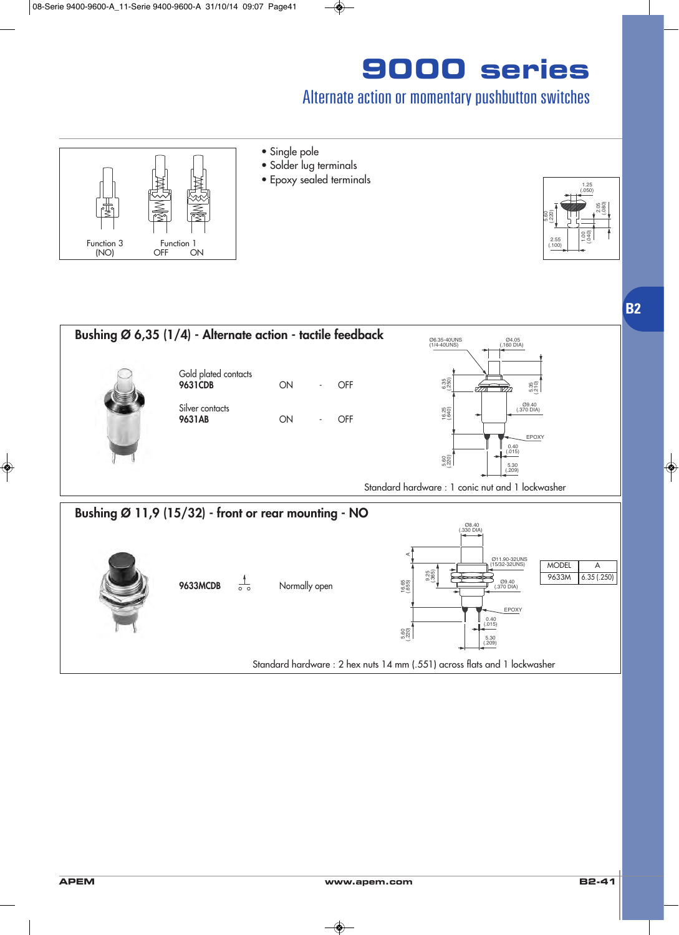### Alternate action or momentary pushbutton switches



- **•** Single pole
- **•** Solder lug terminals
- Epoxy sealed terminals